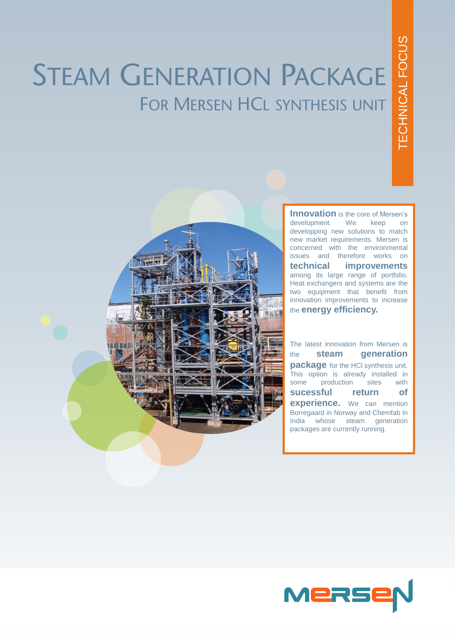# **STEAM GENERATION PACKAGE** FOR MERSEN HCL SYNTHESIS UNIT



**Innovation** is the core of Mersen's development . We keep on developping new solutions to match new market requirements . Mersen is concerned with the environmental issues and therefore works on **technical improvements** among its large range of portfolio . Heat exchangers and systems are the two equipment that benefit from innovation improvements to increase the **energy efficiency.**

The latest innovation from Mersen is the **steam generation package** for the HCI synthesis unit. This option is already installed in<br>some production sites with production **sucessful return of experience .** We can mention Borregaard in Norway and Chemfab in India whose steam generation packages are currently running .